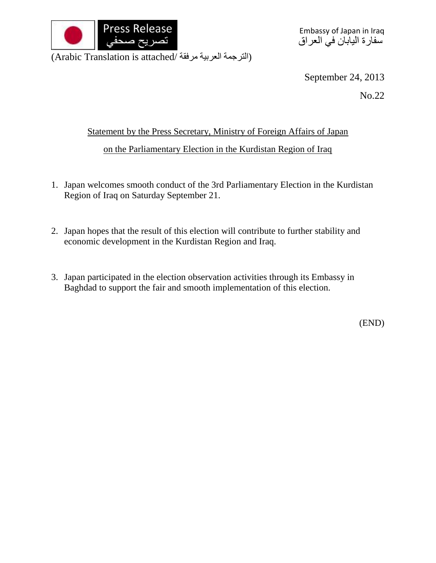

(الترجمة العربية مرفقة /Arabic Translation is attached)

September 24, 2013

No.22

## Statement by the Press Secretary, Ministry of Foreign Affairs of Japan on the Parliamentary Election in the Kurdistan Region of Iraq

- 1. Japan welcomes smooth conduct of the 3rd Parliamentary Election in the Kurdistan Region of Iraq on Saturday September 21.
- 2. Japan hopes that the result of this election will contribute to further stability and economic development in the Kurdistan Region and Iraq.
- 3. Japan participated in the election observation activities through its Embassy in Baghdad to support the fair and smooth implementation of this election.

(END)